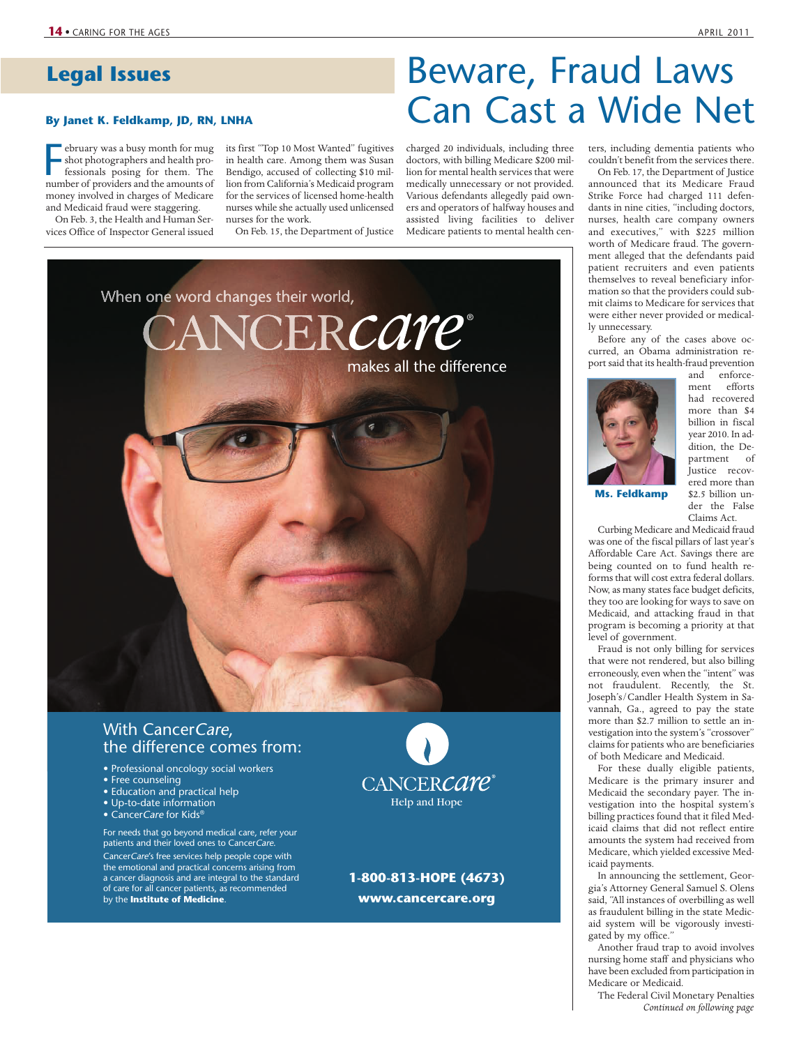## **Legal Issues**

# By Janet K. Feldkamp, JD, RN, LNHA **Can Cast a Wide Net**

ebruary was a busy month for mug<br>shot photographers and health pro-<br>fessionals posing for them. The<br>number of providers and the amounts of ebruary was a busy month for mug shot photographers and health professionals posing for them. The money involved in charges of Medicare and Medicaid fraud were staggering.

On Feb. 3, the Health and Human Services Office of Inspector General issued its first "Top 10 Most Wanted" fugitives in health care. Among them was Susan Bendigo, accused of collecting \$10 million from California's Medicaid program for the services of licensed home-health nurses while she actually used unlicensed nurses for the work.

On Feb. 15, the Department of Justice

charged 20 individuals, including three doctors, with billing Medicare \$200 million for mental health services that were medically unnecessary or not provided. Various defendants allegedly paid owners and operators of halfway houses and assisted living facilities to deliver Medicare patients to mental health cen-

Beware, Fraud Laws



## With CancerCare, the difference comes from:

- Professional oncology social workers
- Free counseling
- Education and practical help
- Up-to-date information
- CancerCare for Kids®

For needs that go beyond medical care, refer your patients and their loved ones to CancerCare CancerCare's free services help people cope with the emotional and practical concerns arising from a cancer diagnosis and are integral to the standard of care for all cancer patients, as recommended by the **Institute of Medicine**.



**1-800-813-HOPE (4673) www.cancercare.org**

### ters, including dementia patients who couldn't benefit from the services there.

On Feb. 17, the Department of Justice announced that its Medicare Fraud Strike Force had charged 111 defendants in nine cities, "including doctors, nurses, health care company owners and executives," with \$225 million worth of Medicare fraud. The government alleged that the defendants paid patient recruiters and even patients themselves to reveal beneficiary information so that the providers could submit claims to Medicare for services that were either never provided or medically unnecessary.

Before any of the cases above occurred, an Obama administration report said that its health-fraud prevention



and enforcement efforts had recovered more than \$4 billion in fiscal year 2010. In addition, the Department of Justice recovered more than \$2.5 billion under the False

**Ms. Feldkamp**

Claims Act. Curbing Medicare and Medicaid fraud

was one of the fiscal pillars of last year's Affordable Care Act. Savings there are being counted on to fund health reforms that will cost extra federal dollars. Now, as many states face budget deficits, they too are looking for ways to save on Medicaid, and attacking fraud in that program is becoming a priority at that level of government.

Fraud is not only billing for services that were not rendered, but also billing erroneously, even when the "intent" was not fraudulent. Recently, the St. Joseph's/Candler Health System in Savannah, Ga., agreed to pay the state more than \$2.7 million to settle an investigation into the system's "crossover" claims for patients who are beneficiaries of both Medicare and Medicaid.

For these dually eligible patients, Medicare is the primary insurer and Medicaid the secondary payer. The investigation into the hospital system's billing practices found that it filed Medicaid claims that did not reflect entire amounts the system had received from Medicare, which yielded excessive Medicaid payments.

In announcing the settlement, Georgia's Attorney General Samuel S. Olens said, "All instances of overbilling as well as fraudulent billing in the state Medicaid system will be vigorously investigated by my office."

Another fraud trap to avoid involves nursing home staff and physicians who have been excluded from participation in Medicare or Medicaid.

The Federal Civil Monetary Penalties *Continued on following page*